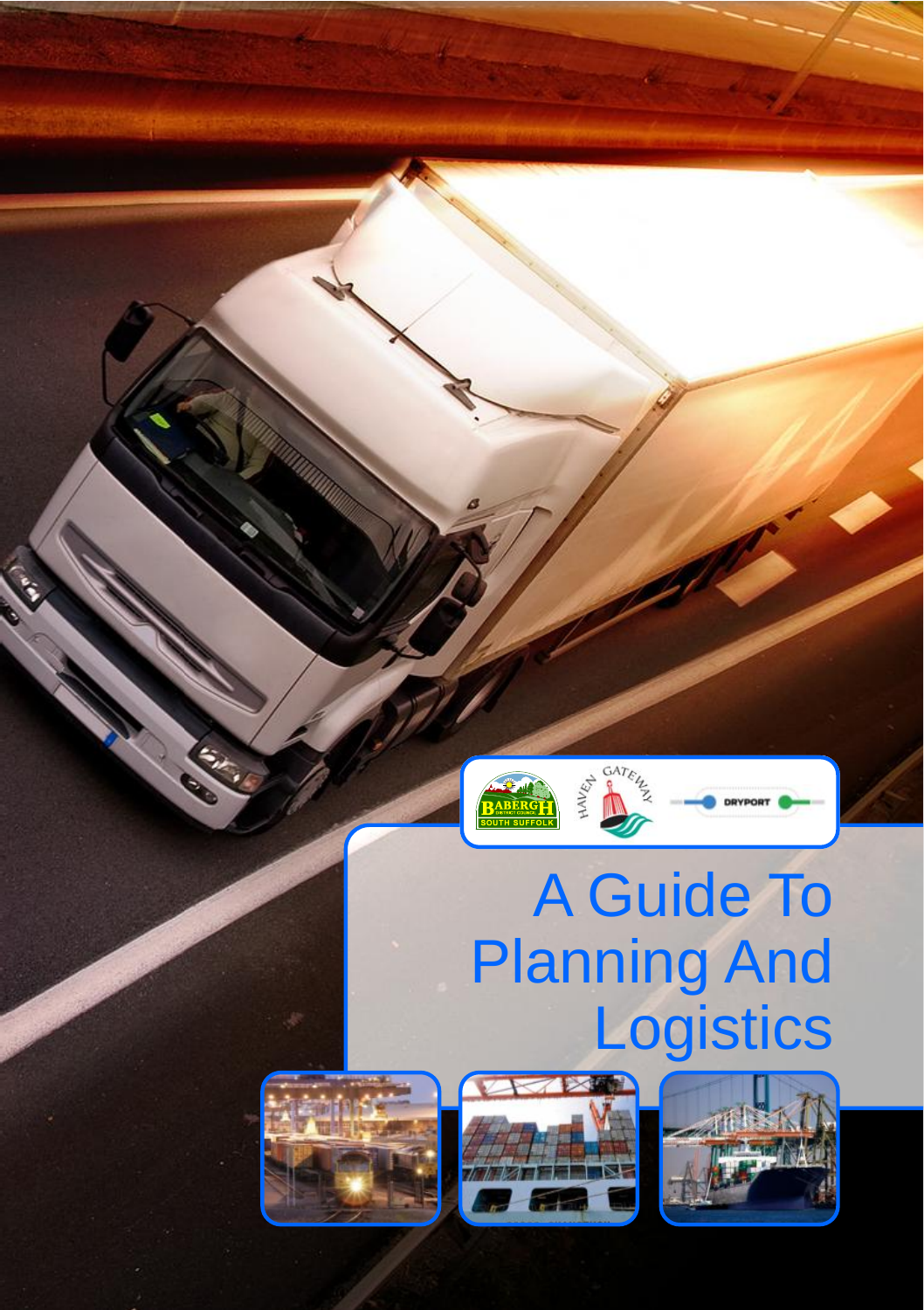

# A Guide To Planning And **Logistics**





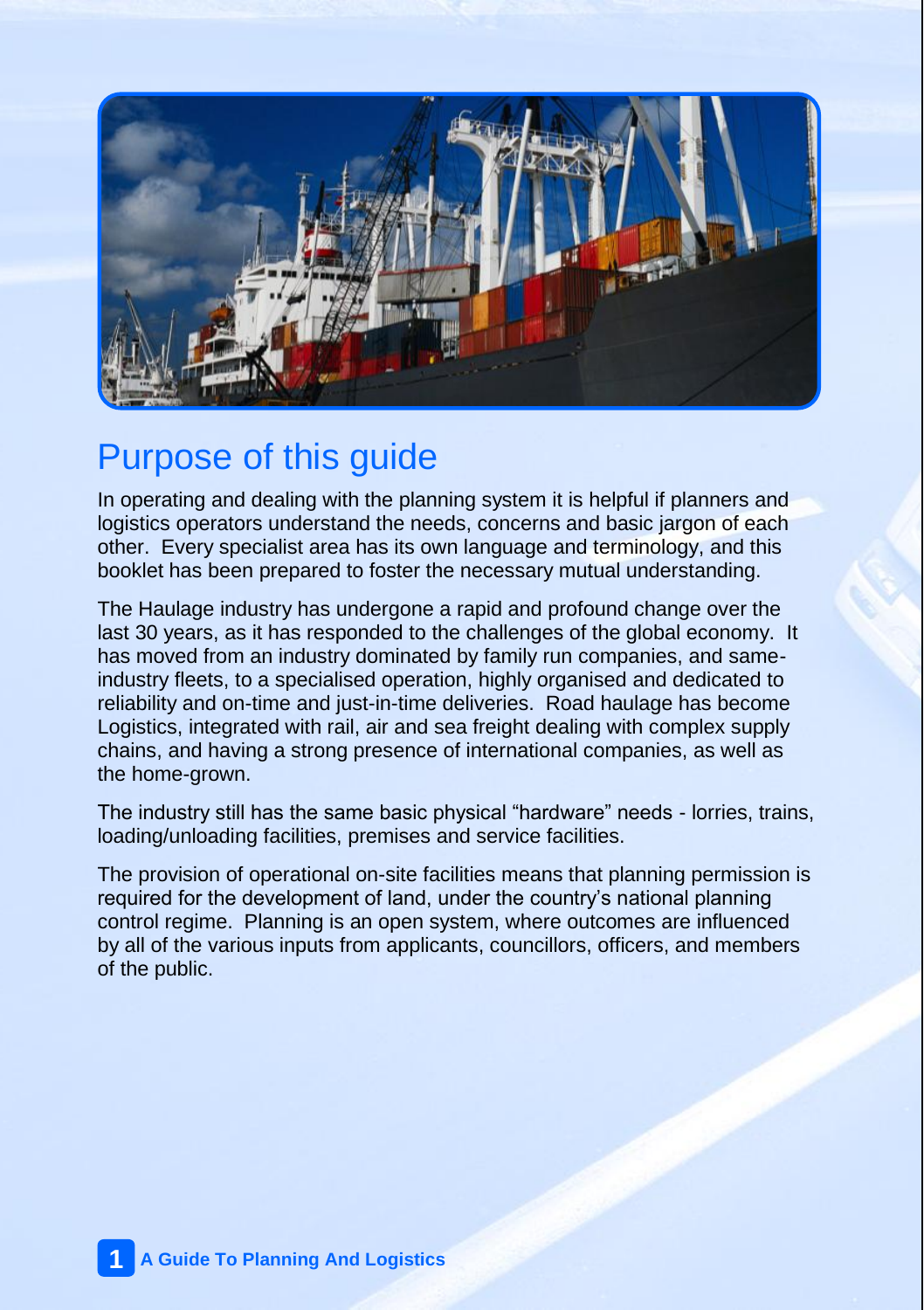

## Purpose of this guide

In operating and dealing with the planning system it is helpful if planners and logistics operators understand the needs, concerns and basic jargon of each other. Every specialist area has its own language and terminology, and this booklet has been prepared to foster the necessary mutual understanding.

The Haulage industry has undergone a rapid and profound change over the last 30 years, as it has responded to the challenges of the global economy. It has moved from an industry dominated by family run companies, and sameindustry fleets, to a specialised operation, highly organised and dedicated to reliability and on-time and just-in-time deliveries. Road haulage has become Logistics, integrated with rail, air and sea freight dealing with complex supply chains, and having a strong presence of international companies, as well as the home-grown.

The industry still has the same basic physical "hardware" needs - lorries, trains, loading/unloading facilities, premises and service facilities.

The provision of operational on-site facilities means that planning permission is required for the development of land, under the country's national planning control regime. Planning is an open system, where outcomes are influenced by all of the various inputs from applicants, councillors, officers, and members of the public.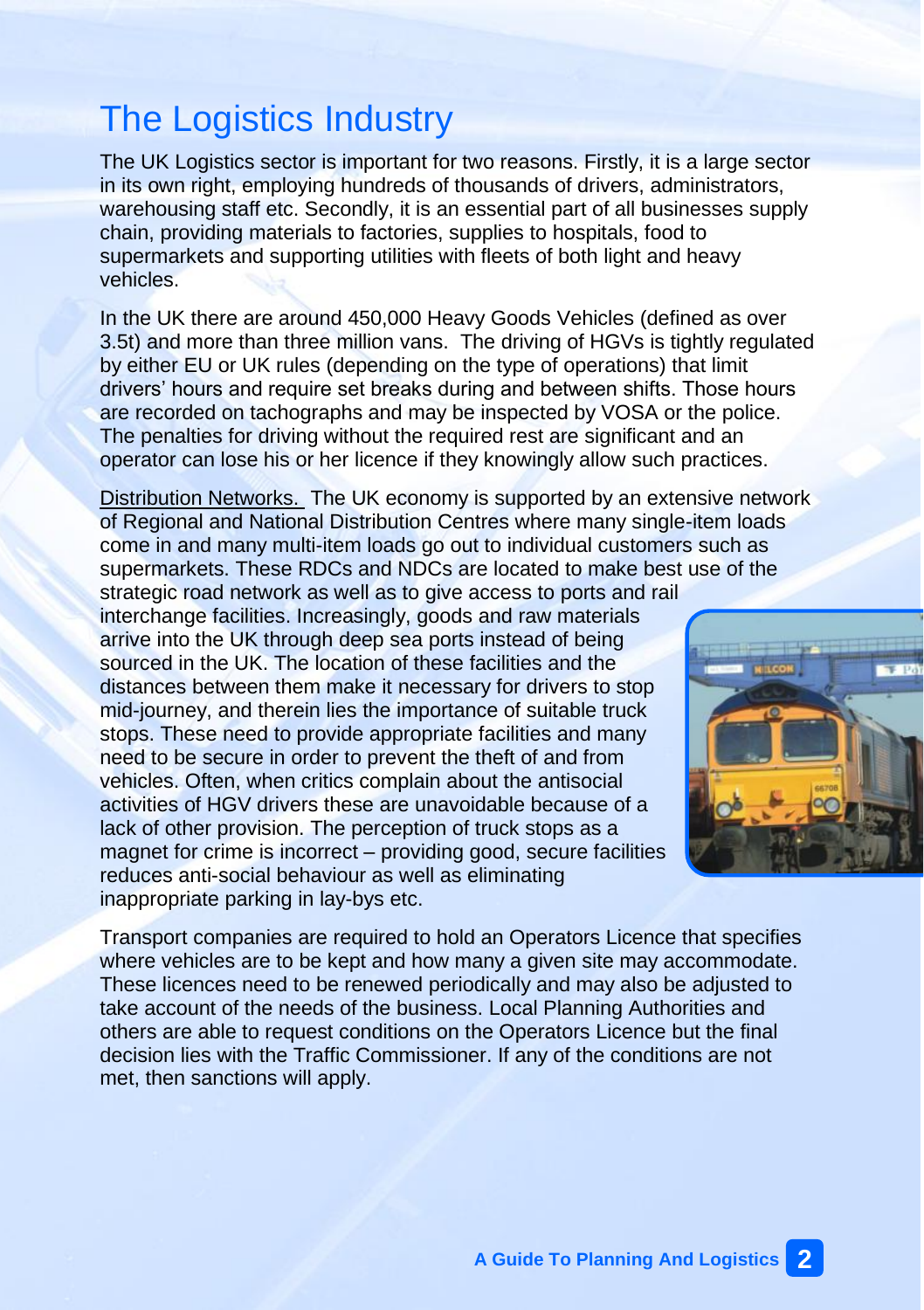# The Logistics Industry

The UK Logistics sector is important for two reasons. Firstly, it is a large sector in its own right, employing hundreds of thousands of drivers, administrators, warehousing staff etc. Secondly, it is an essential part of all businesses supply chain, providing materials to factories, supplies to hospitals, food to supermarkets and supporting utilities with fleets of both light and heavy vehicles.

In the UK there are around 450,000 Heavy Goods Vehicles (defined as over 3.5t) and more than three million vans. The driving of HGVs is tightly regulated by either EU or UK rules (depending on the type of operations) that limit drivers' hours and require set breaks during and between shifts. Those hours are recorded on tachographs and may be inspected by VOSA or the police. The penalties for driving without the required rest are significant and an operator can lose his or her licence if they knowingly allow such practices.

Distribution Networks. The UK economy is supported by an extensive network of Regional and National Distribution Centres where many single-item loads come in and many multi-item loads go out to individual customers such as supermarkets. These RDCs and NDCs are located to make best use of the

strategic road network as well as to give access to ports and rail interchange facilities. Increasingly, goods and raw materials arrive into the UK through deep sea ports instead of being sourced in the UK. The location of these facilities and the distances between them make it necessary for drivers to stop mid-journey, and therein lies the importance of suitable truck stops. These need to provide appropriate facilities and many need to be secure in order to prevent the theft of and from vehicles. Often, when critics complain about the antisocial activities of HGV drivers these are unavoidable because of a lack of other provision. The perception of truck stops as a magnet for crime is incorrect – providing good, secure facilities reduces anti-social behaviour as well as eliminating inappropriate parking in lay-bys etc.



Transport companies are required to hold an Operators Licence that specifies where vehicles are to be kept and how many a given site may accommodate. These licences need to be renewed periodically and may also be adjusted to take account of the needs of the business. Local Planning Authorities and others are able to request conditions on the Operators Licence but the final decision lies with the Traffic Commissioner. If any of the conditions are not met, then sanctions will apply.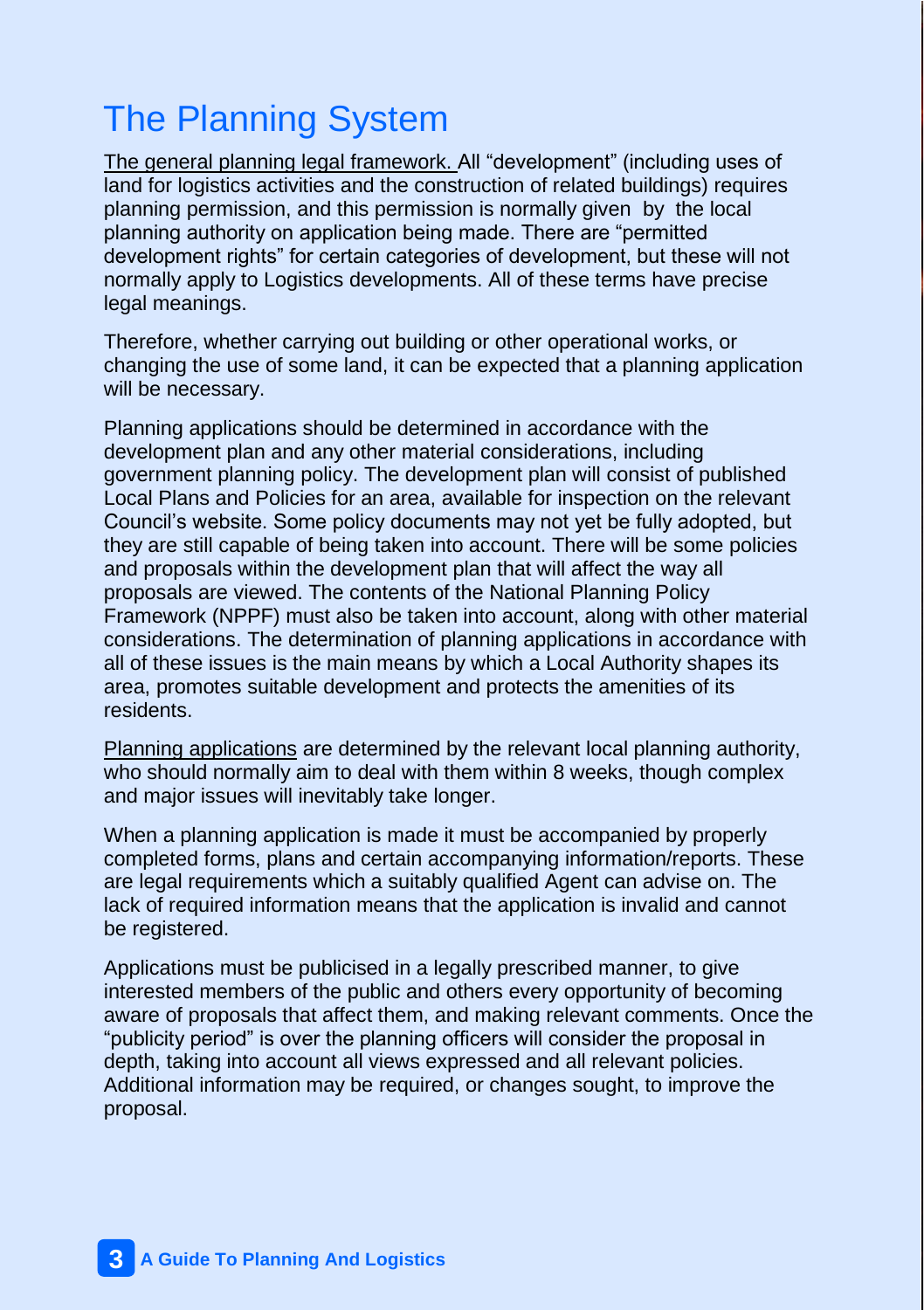# The Planning System

The general planning legal framework. All "development" (including uses of land for logistics activities and the construction of related buildings) requires planning permission, and this permission is normally given by the local planning authority on application being made. There are "permitted development rights" for certain categories of development, but these will not normally apply to Logistics developments. All of these terms have precise legal meanings.

Therefore, whether carrying out building or other operational works, or changing the use of some land, it can be expected that a planning application will be necessary.

Planning applications should be determined in accordance with the development plan and any other material considerations, including government planning policy. The development plan will consist of published Local Plans and Policies for an area, available for inspection on the relevant Council's website. Some policy documents may not yet be fully adopted, but they are still capable of being taken into account. There will be some policies and proposals within the development plan that will affect the way all proposals are viewed. The contents of the National Planning Policy Framework (NPPF) must also be taken into account, along with other material considerations. The determination of planning applications in accordance with all of these issues is the main means by which a Local Authority shapes its area, promotes suitable development and protects the amenities of its residents.

Planning applications are determined by the relevant local planning authority, who should normally aim to deal with them within 8 weeks, though complex and major issues will inevitably take longer.

When a planning application is made it must be accompanied by properly completed forms, plans and certain accompanying information/reports. These are legal requirements which a suitably qualified Agent can advise on. The lack of required information means that the application is invalid and cannot be registered.

Applications must be publicised in a legally prescribed manner, to give interested members of the public and others every opportunity of becoming aware of proposals that affect them, and making relevant comments. Once the "publicity period" is over the planning officers will consider the proposal in depth, taking into account all views expressed and all relevant policies. Additional information may be required, or changes sought, to improve the proposal.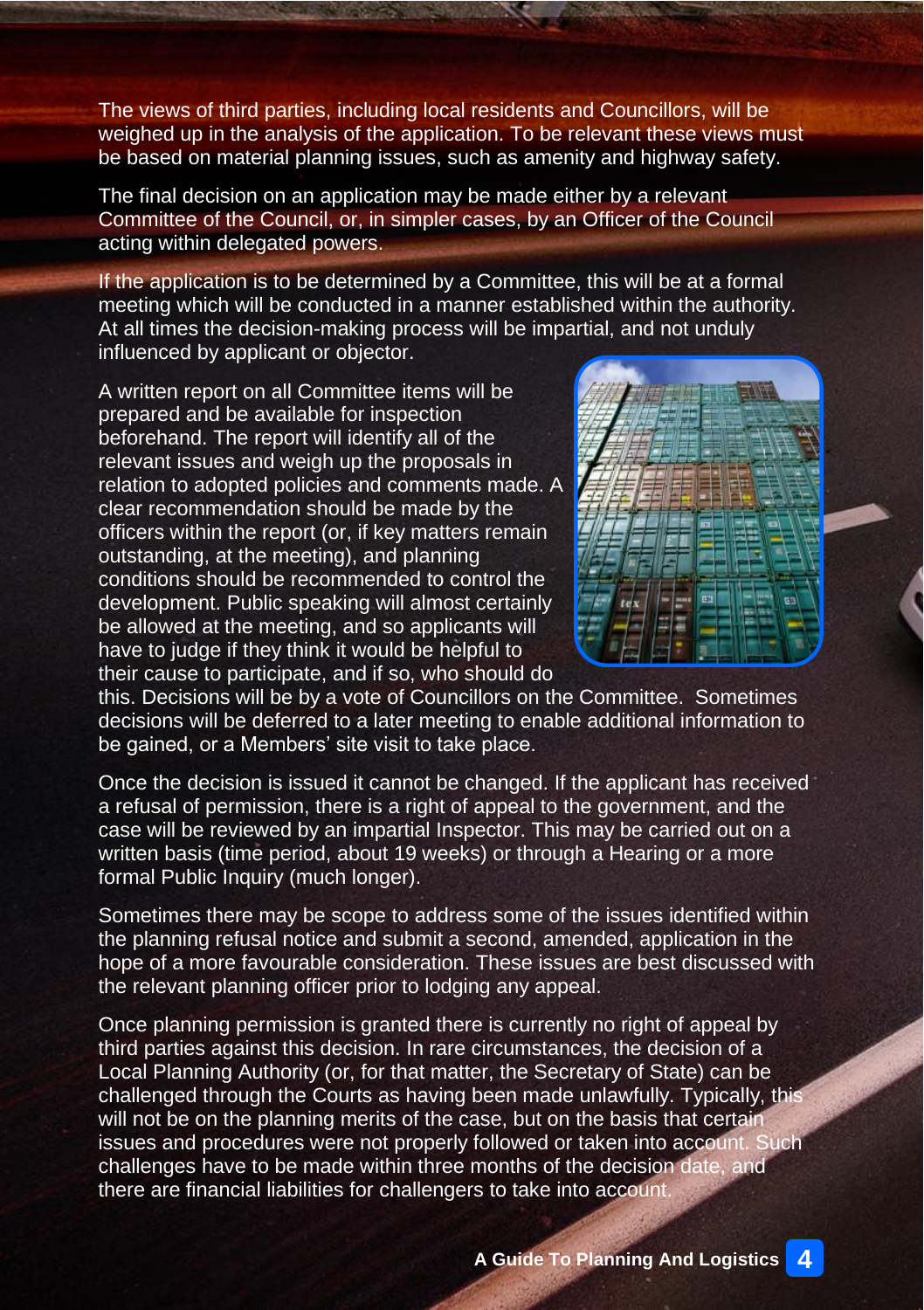The views of third parties, including local residents and Councillors, will be weighed up in the analysis of the application. To be relevant these views must be based on material planning issues, such as amenity and highway safety.

The final decision on an application may be made either by a relevant Committee of the Council, or, in simpler cases, by an Officer of the Council acting within delegated powers.

If the application is to be determined by a Committee, this will be at a formal meeting which will be conducted in a manner established within the authority. At all times the decision-making process will be impartial, and not unduly influenced by applicant or objector.

A written report on all Committee items will be prepared and be available for inspection beforehand. The report will identify all of the relevant issues and weigh up the proposals in relation to adopted policies and comments made. A clear recommendation should be made by the officers within the report (or, if key matters remain outstanding, at the meeting), and planning conditions should be recommended to control the development. Public speaking will almost certainly be allowed at the meeting, and so applicants will have to judge if they think it would be helpful to their cause to participate, and if so, who should do



this. Decisions will be by a vote of Councillors on the Committee. Sometimes decisions will be deferred to a later meeting to enable additional information to be gained, or a Members' site visit to take place.

Once the decision is issued it cannot be changed. If the applicant has received a refusal of permission, there is a right of appeal to the government, and the case will be reviewed by an impartial Inspector. This may be carried out on a written basis (time period, about 19 weeks) or through a Hearing or a more formal Public Inquiry (much longer).

Sometimes there may be scope to address some of the issues identified within the planning refusal notice and submit a second, amended, application in the hope of a more favourable consideration. These issues are best discussed with the relevant planning officer prior to lodging any appeal.

Once planning permission is granted there is currently no right of appeal by third parties against this decision. In rare circumstances, the decision of a Local Planning Authority (or, for that matter, the Secretary of State) can be challenged through the Courts as having been made unlawfully. Typically, this will not be on the planning merits of the case, but on the basis that certain issues and procedures were not properly followed or taken into account. Such challenges have to be made within three months of the decision date, and there are financial liabilities for challengers to take into account.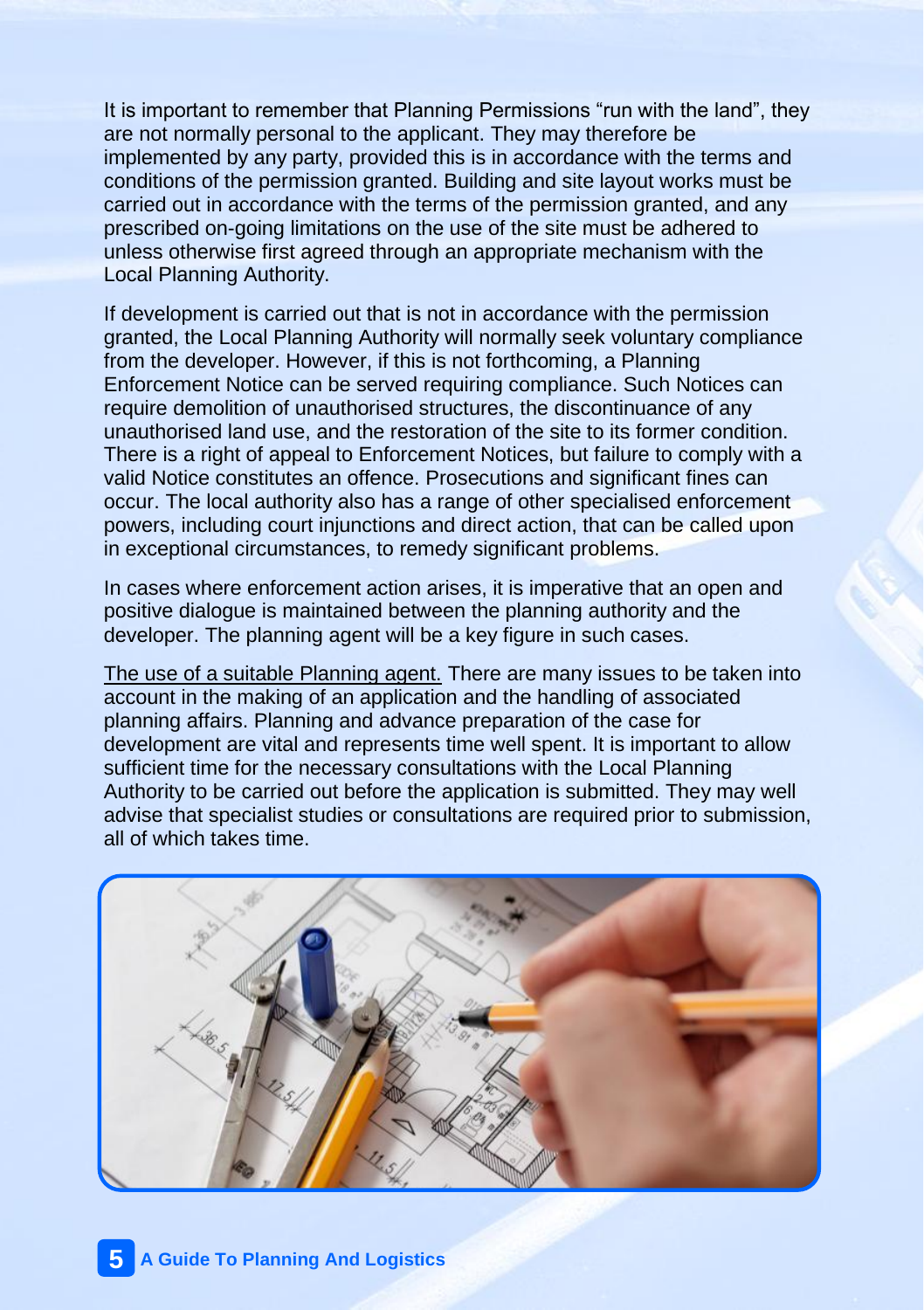It is important to remember that Planning Permissions "run with the land", they are not normally personal to the applicant. They may therefore be implemented by any party, provided this is in accordance with the terms and conditions of the permission granted. Building and site layout works must be carried out in accordance with the terms of the permission granted, and any prescribed on-going limitations on the use of the site must be adhered to unless otherwise first agreed through an appropriate mechanism with the Local Planning Authority.

If development is carried out that is not in accordance with the permission granted, the Local Planning Authority will normally seek voluntary compliance from the developer. However, if this is not forthcoming, a Planning Enforcement Notice can be served requiring compliance. Such Notices can require demolition of unauthorised structures, the discontinuance of any unauthorised land use, and the restoration of the site to its former condition. There is a right of appeal to Enforcement Notices, but failure to comply with a valid Notice constitutes an offence. Prosecutions and significant fines can occur. The local authority also has a range of other specialised enforcement powers, including court injunctions and direct action, that can be called upon in exceptional circumstances, to remedy significant problems.

In cases where enforcement action arises, it is imperative that an open and positive dialogue is maintained between the planning authority and the developer. The planning agent will be a key figure in such cases.

The use of a suitable Planning agent. There are many issues to be taken into account in the making of an application and the handling of associated planning affairs. Planning and advance preparation of the case for development are vital and represents time well spent. It is important to allow sufficient time for the necessary consultations with the Local Planning Authority to be carried out before the application is submitted. They may well advise that specialist studies or consultations are required prior to submission, all of which takes time.

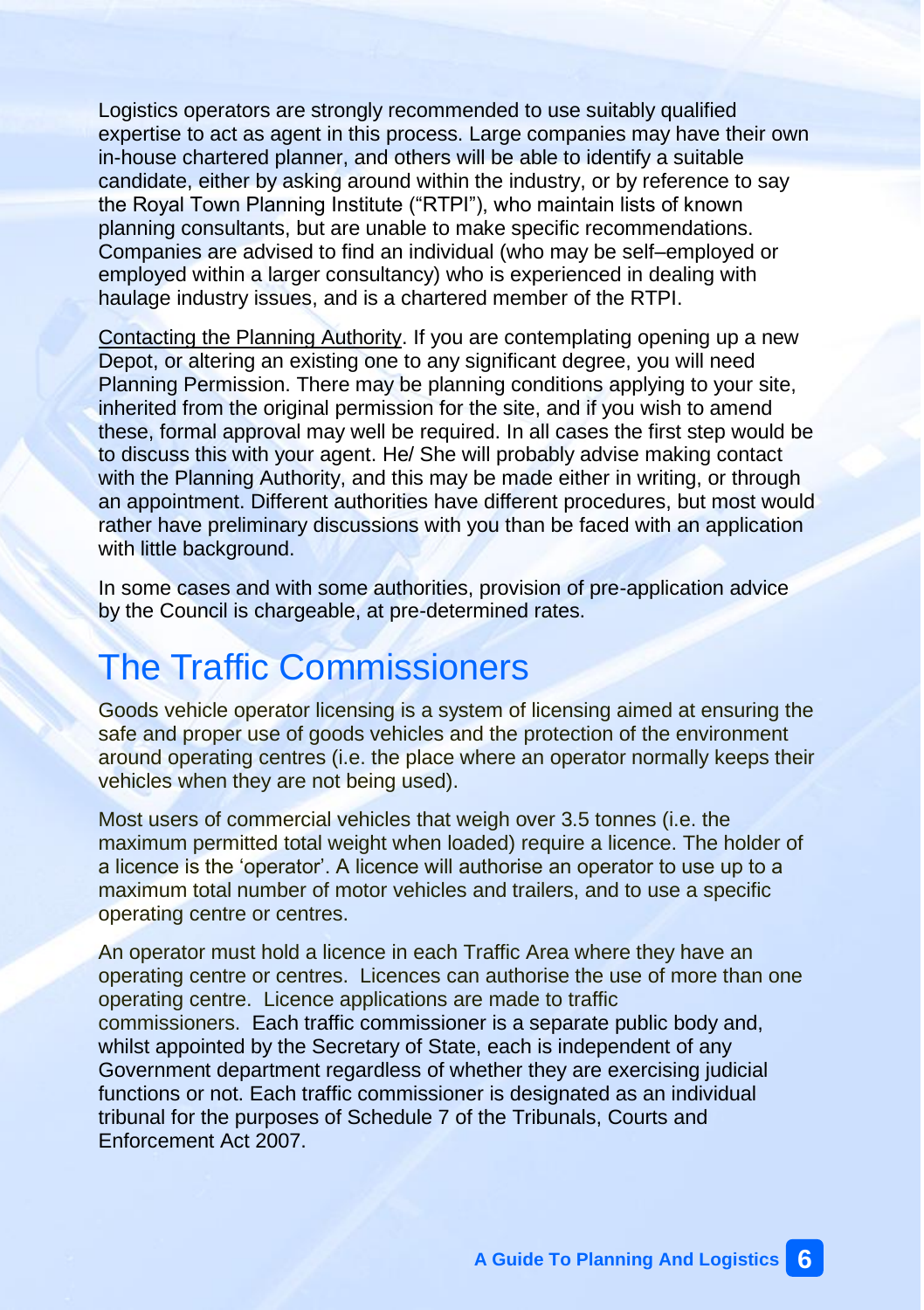Logistics operators are strongly recommended to use suitably qualified expertise to act as agent in this process. Large companies may have their own in-house chartered planner, and others will be able to identify a suitable candidate, either by asking around within the industry, or by reference to say the Royal Town Planning Institute ("RTPI"), who maintain lists of known planning consultants, but are unable to make specific recommendations. Companies are advised to find an individual (who may be self–employed or employed within a larger consultancy) who is experienced in dealing with haulage industry issues, and is a chartered member of the RTPI.

Contacting the Planning Authority. If you are contemplating opening up a new Depot, or altering an existing one to any significant degree, you will need Planning Permission. There may be planning conditions applying to your site, inherited from the original permission for the site, and if you wish to amend these, formal approval may well be required. In all cases the first step would be to discuss this with your agent. He/ She will probably advise making contact with the Planning Authority, and this may be made either in writing, or through an appointment. Different authorities have different procedures, but most would rather have preliminary discussions with you than be faced with an application with little background.

In some cases and with some authorities, provision of pre-application advice by the Council is chargeable, at pre-determined rates.

## The Traffic Commissioners

Goods vehicle operator licensing is a system of licensing aimed at ensuring the safe and proper use of goods vehicles and the protection of the environment around operating centres (i.e. the place where an operator normally keeps their vehicles when they are not being used).

Most users of commercial vehicles that weigh over 3.5 tonnes (i.e. the maximum permitted total weight when loaded) require a licence. The holder of a licence is the 'operator'. A licence will authorise an operator to use up to a maximum total number of motor vehicles and trailers, and to use a specific operating centre or centres.

An operator must hold a licence in each Traffic Area where they have an operating centre or centres. Licences can authorise the use of more than one operating centre. Licence applications are made to traffic commissioners. Each traffic commissioner is a separate public body and, whilst appointed by the Secretary of State, each is independent of any Government department regardless of whether they are exercising judicial functions or not. Each traffic commissioner is designated as an individual tribunal for the purposes of Schedule 7 of the Tribunals, Courts and Enforcement Act 2007.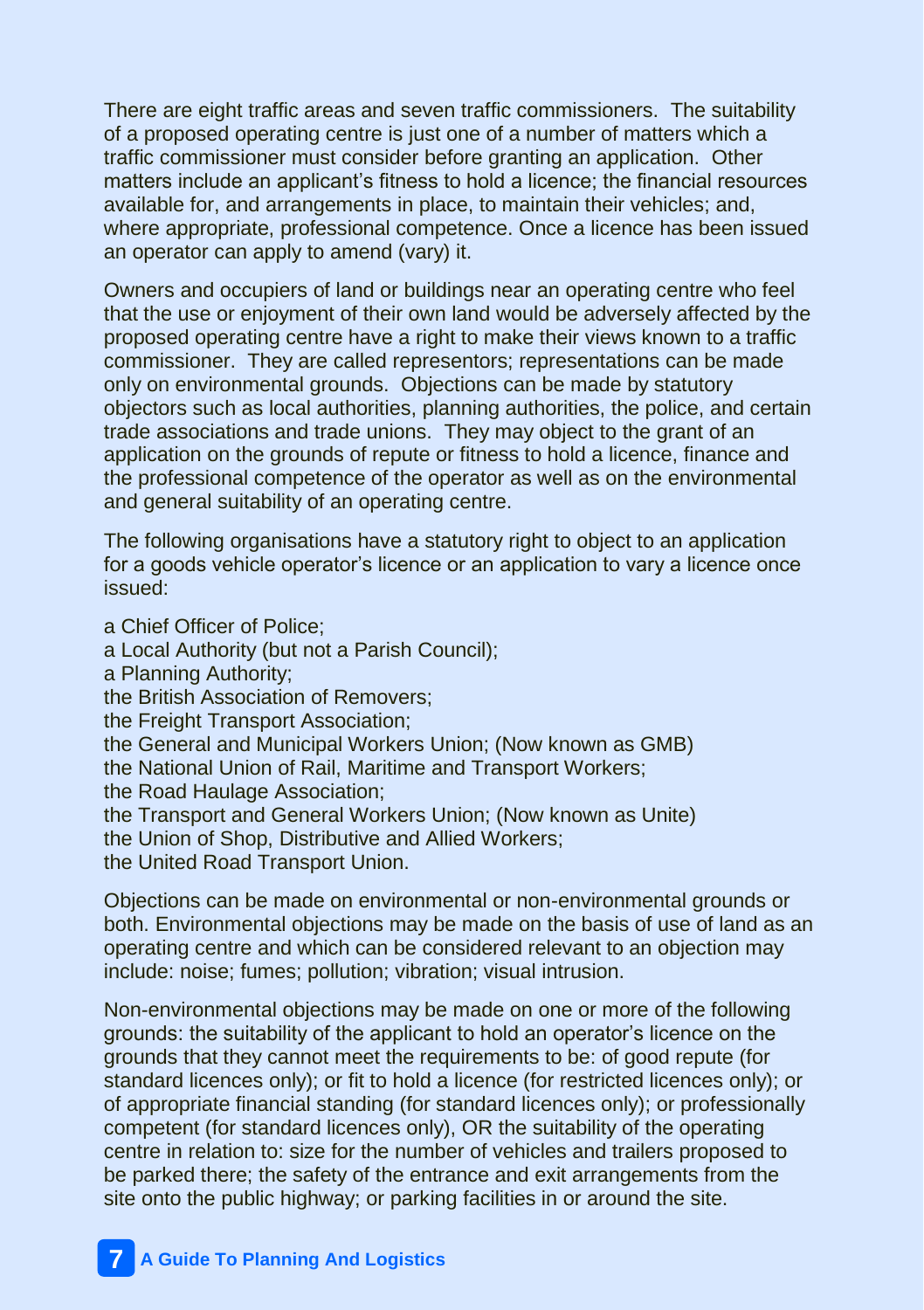There are eight traffic areas and seven traffic commissioners. The suitability of a proposed operating centre is just one of a number of matters which a traffic commissioner must consider before granting an application. Other matters include an applicant's fitness to hold a licence; the financial resources available for, and arrangements in place, to maintain their vehicles; and, where appropriate, professional competence. Once a licence has been issued an operator can apply to amend (vary) it.

Owners and occupiers of land or buildings near an operating centre who feel that the use or enjoyment of their own land would be adversely affected by the proposed operating centre have a right to make their views known to a traffic commissioner. They are called representors; representations can be made only on environmental grounds. Objections can be made by statutory objectors such as local authorities, planning authorities, the police, and certain trade associations and trade unions. They may object to the grant of an application on the grounds of repute or fitness to hold a licence, finance and the professional competence of the operator as well as on the environmental and general suitability of an operating centre.

The following organisations have a statutory right to object to an application for a goods vehicle operator's licence or an application to vary a licence once issued:

a Chief Officer of Police; a Local Authority (but not a Parish Council); a Planning Authority; the British Association of Removers; the Freight Transport Association: the General and Municipal Workers Union; (Now known as GMB) the National Union of Rail, Maritime and Transport Workers; the Road Haulage Association; the Transport and General Workers Union; (Now known as Unite) the Union of Shop, Distributive and Allied Workers; the United Road Transport Union.

Objections can be made on environmental or non-environmental grounds or both. Environmental objections may be made on the basis of use of land as an operating centre and which can be considered relevant to an objection may include: noise; fumes; pollution; vibration; visual intrusion.

Non-environmental objections may be made on one or more of the following grounds: the suitability of the applicant to hold an operator's licence on the grounds that they cannot meet the requirements to be: of good repute (for standard licences only); or fit to hold a licence (for restricted licences only); or of appropriate financial standing (for standard licences only); or professionally competent (for standard licences only), OR the suitability of the operating centre in relation to: size for the number of vehicles and trailers proposed to be parked there; the safety of the entrance and exit arrangements from the site onto the public highway; or parking facilities in or around the site.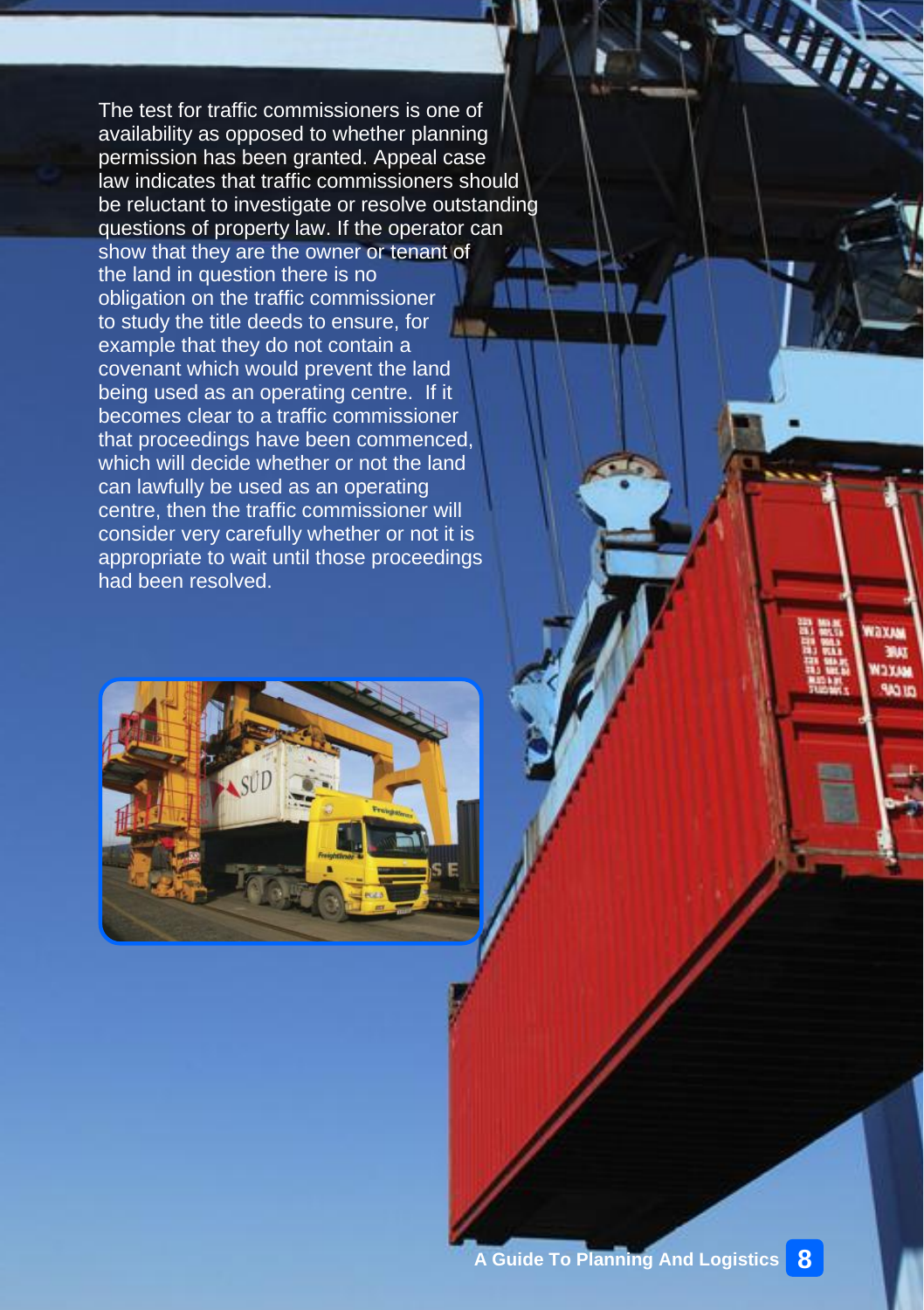The test for traffic commissioners is one of availability as opposed to whether planning permission has been granted. Appeal case law indicates that traffic commissioners should be reluctant to investigate or resolve outstanding questions of property law. If the operator can show that they are the owner or tenant of the land in question there is no obligation on the traffic commissioner to study the title deeds to ensure, for example that they do not contain a covenant which would prevent the land being used as an operating centre. If it becomes clear to a traffic commissioner that proceedings have been commenced, which will decide whether or not the land can lawfully be used as an operating centre, then the traffic commissioner will consider very carefully whether or not it is appropriate to wait until those proceedings had been resolved.



Vaxas **DYM TAG ID**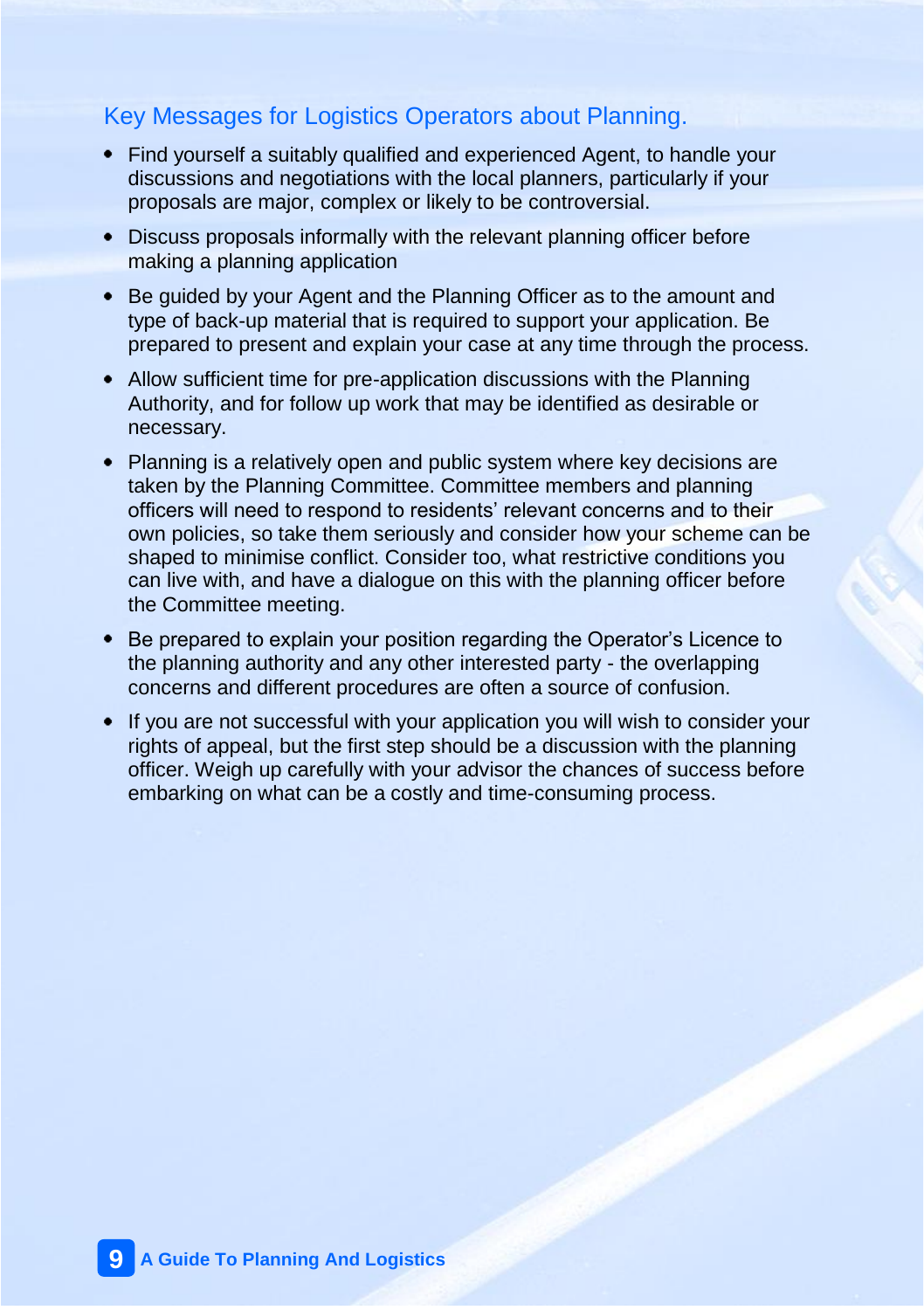### Key Messages for Logistics Operators about Planning.

- Find yourself a suitably qualified and experienced Agent, to handle your discussions and negotiations with the local planners, particularly if your proposals are major, complex or likely to be controversial.
- Discuss proposals informally with the relevant planning officer before making a planning application
- Be guided by your Agent and the Planning Officer as to the amount and type of back-up material that is required to support your application. Be prepared to present and explain your case at any time through the process.
- Allow sufficient time for pre-application discussions with the Planning Authority, and for follow up work that may be identified as desirable or necessary.
- Planning is a relatively open and public system where key decisions are taken by the Planning Committee. Committee members and planning officers will need to respond to residents' relevant concerns and to their own policies, so take them seriously and consider how your scheme can be shaped to minimise conflict. Consider too, what restrictive conditions you can live with, and have a dialogue on this with the planning officer before the Committee meeting.
- Be prepared to explain your position regarding the Operator's Licence to the planning authority and any other interested party - the overlapping concerns and different procedures are often a source of confusion.
- If you are not successful with your application you will wish to consider your rights of appeal, but the first step should be a discussion with the planning officer. Weigh up carefully with your advisor the chances of success before embarking on what can be a costly and time-consuming process.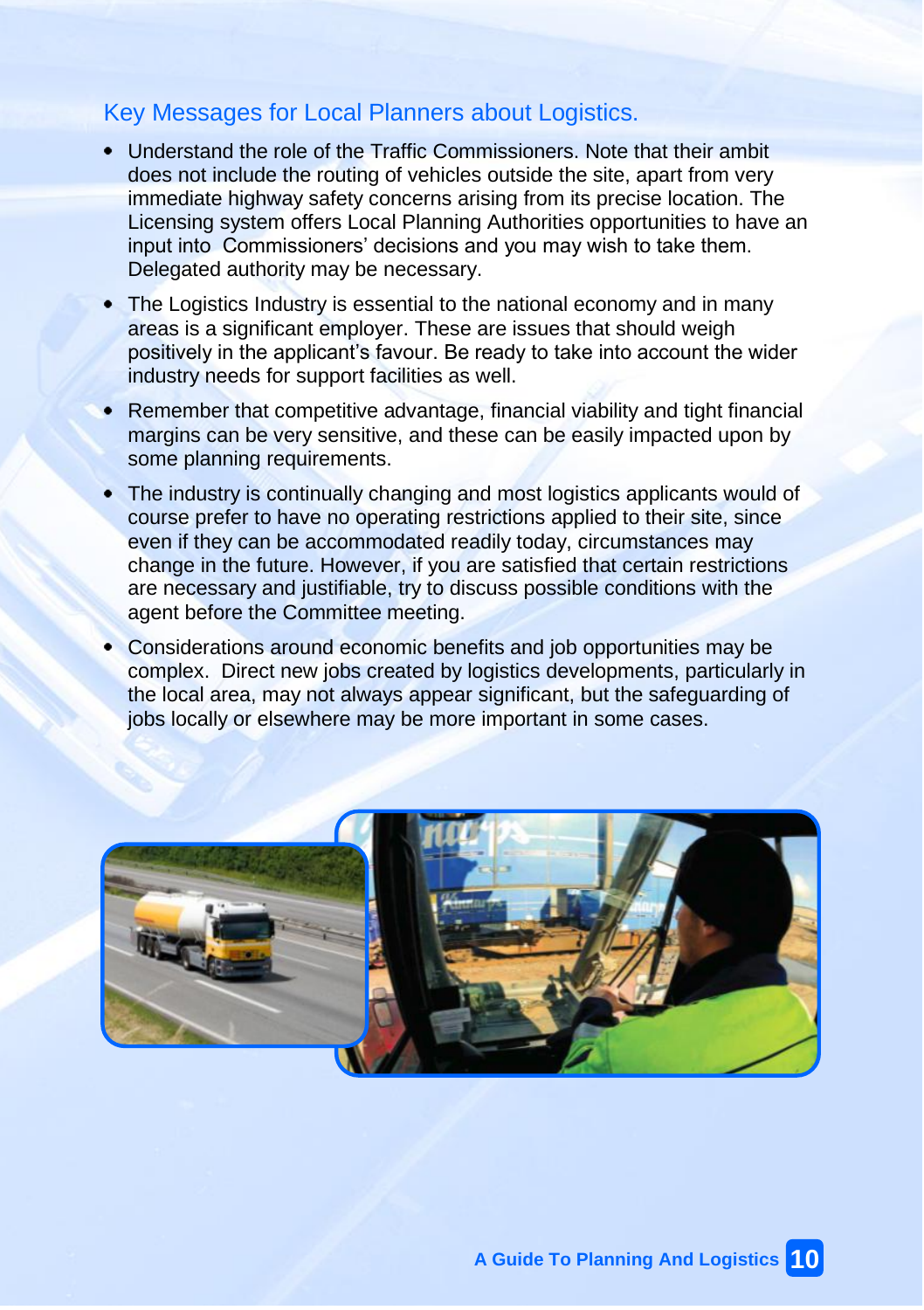### Key Messages for Local Planners about Logistics.

- Understand the role of the Traffic Commissioners. Note that their ambit does not include the routing of vehicles outside the site, apart from very immediate highway safety concerns arising from its precise location. The Licensing system offers Local Planning Authorities opportunities to have an input into Commissioners' decisions and you may wish to take them. Delegated authority may be necessary.
- The Logistics Industry is essential to the national economy and in many areas is a significant employer. These are issues that should weigh positively in the applicant's favour. Be ready to take into account the wider industry needs for support facilities as well.
- Remember that competitive advantage, financial viability and tight financial margins can be very sensitive, and these can be easily impacted upon by some planning requirements.
- The industry is continually changing and most logistics applicants would of course prefer to have no operating restrictions applied to their site, since even if they can be accommodated readily today, circumstances may change in the future. However, if you are satisfied that certain restrictions are necessary and justifiable, try to discuss possible conditions with the agent before the Committee meeting.
- Considerations around economic benefits and job opportunities may be complex. Direct new jobs created by logistics developments, particularly in the local area, may not always appear significant, but the safeguarding of jobs locally or elsewhere may be more important in some cases.